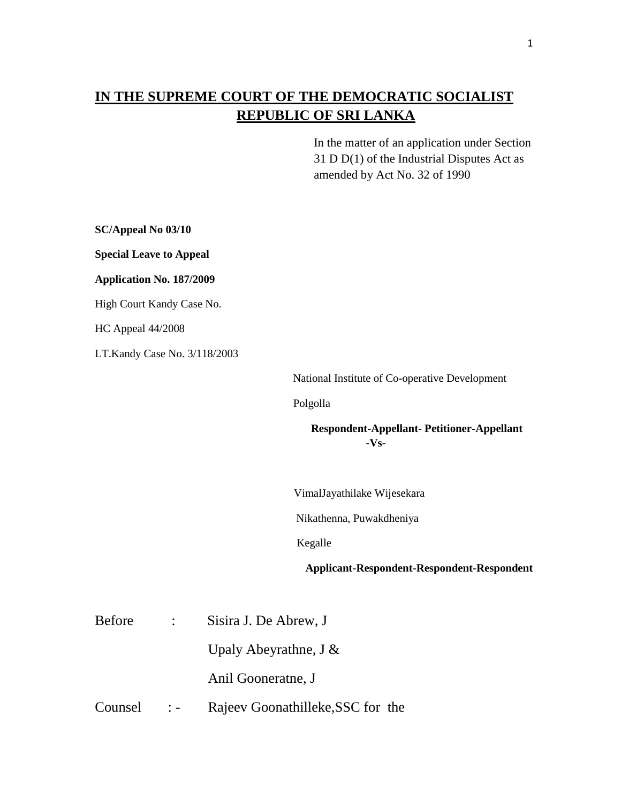## **IN THE SUPREME COURT OF THE DEMOCRATIC SOCIALIST REPUBLIC OF SRI LANKA**

In the matter of an application under Section 31 D D(1) of the Industrial Disputes Act as amended by Act No. 32 of 1990

**SC/Appeal No 03/10 Special Leave to Appeal Application No. 187/2009** High Court Kandy Case No. HC Appeal 44/2008 LT.Kandy Case No. 3/118/2003 National Institute of Co-operative Development Polgolla **Respondent-Appellant- Petitioner-Appellant -Vs-** VimalJayathilake Wijesekara Nikathenna, Puwakdheniya Kegalle **Applicant-Respondent-Respondent-Respondent** Before : Sisira J. De Abrew, J Upaly Abeyrathne, J & Anil Gooneratne, J Counsel :- Rajeev Goonathilleke, SSC for the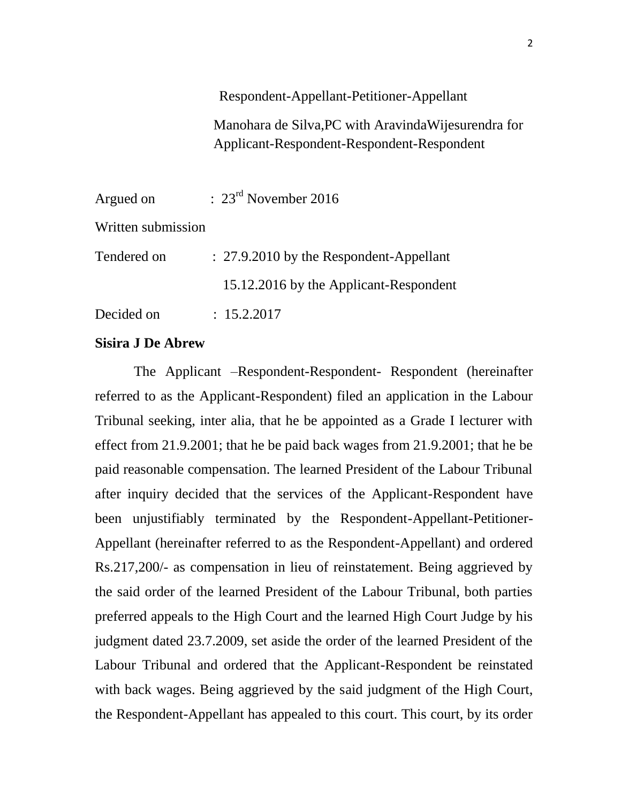## Respondent-Appellant-Petitioner-Appellant

Manohara de Silva,PC with AravindaWijesurendra for Applicant-Respondent-Respondent-Respondent

| Argued on          | $\therefore$ 23 <sup>rd</sup> November 2016 |
|--------------------|---------------------------------------------|
| Written submission |                                             |
| Tendered on        | : 27.9.2010 by the Respondent-Appellant     |
|                    | 15.12.2016 by the Applicant-Respondent      |
| Decided on         | : 15.2.2017                                 |

## **Sisira J De Abrew**

 The Applicant –Respondent-Respondent- Respondent (hereinafter referred to as the Applicant-Respondent) filed an application in the Labour Tribunal seeking, inter alia, that he be appointed as a Grade I lecturer with effect from 21.9.2001; that he be paid back wages from 21.9.2001; that he be paid reasonable compensation. The learned President of the Labour Tribunal after inquiry decided that the services of the Applicant-Respondent have been unjustifiably terminated by the Respondent-Appellant-Petitioner-Appellant (hereinafter referred to as the Respondent-Appellant) and ordered Rs.217,200/- as compensation in lieu of reinstatement. Being aggrieved by the said order of the learned President of the Labour Tribunal, both parties preferred appeals to the High Court and the learned High Court Judge by his judgment dated 23.7.2009, set aside the order of the learned President of the Labour Tribunal and ordered that the Applicant-Respondent be reinstated with back wages. Being aggrieved by the said judgment of the High Court, the Respondent-Appellant has appealed to this court. This court, by its order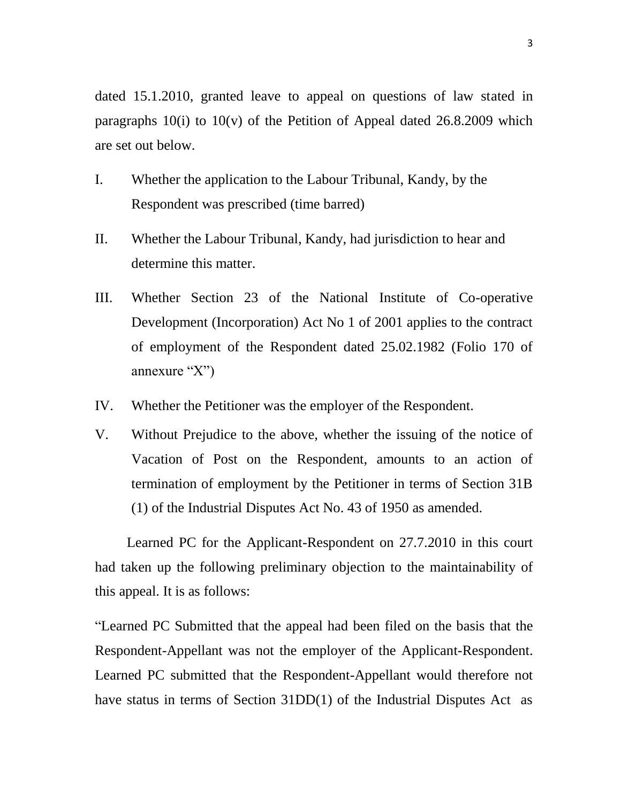dated 15.1.2010, granted leave to appeal on questions of law stated in paragraphs  $10(i)$  to  $10(v)$  of the Petition of Appeal dated 26.8.2009 which are set out below.

- I. Whether the application to the Labour Tribunal, Kandy, by the Respondent was prescribed (time barred)
- II. Whether the Labour Tribunal, Kandy, had jurisdiction to hear and determine this matter.
- III. Whether Section 23 of the National Institute of Co-operative Development (Incorporation) Act No 1 of 2001 applies to the contract of employment of the Respondent dated 25.02.1982 (Folio 170 of annexure "X")
- IV. Whether the Petitioner was the employer of the Respondent.
- V. Without Prejudice to the above, whether the issuing of the notice of Vacation of Post on the Respondent, amounts to an action of termination of employment by the Petitioner in terms of Section 31B (1) of the Industrial Disputes Act No. 43 of 1950 as amended.

 Learned PC for the Applicant-Respondent on 27.7.2010 in this court had taken up the following preliminary objection to the maintainability of this appeal. It is as follows:

"Learned PC Submitted that the appeal had been filed on the basis that the Respondent-Appellant was not the employer of the Applicant-Respondent. Learned PC submitted that the Respondent-Appellant would therefore not have status in terms of Section 31DD(1) of the Industrial Disputes Act as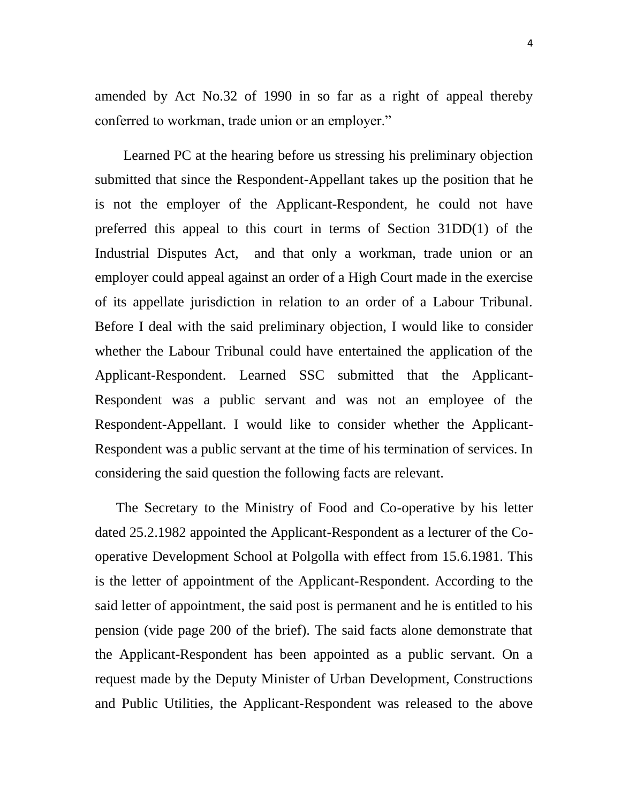amended by Act No.32 of 1990 in so far as a right of appeal thereby conferred to workman, trade union or an employer."

 Learned PC at the hearing before us stressing his preliminary objection submitted that since the Respondent-Appellant takes up the position that he is not the employer of the Applicant-Respondent, he could not have preferred this appeal to this court in terms of Section 31DD(1) of the Industrial Disputes Act, and that only a workman, trade union or an employer could appeal against an order of a High Court made in the exercise of its appellate jurisdiction in relation to an order of a Labour Tribunal. Before I deal with the said preliminary objection, I would like to consider whether the Labour Tribunal could have entertained the application of the Applicant-Respondent. Learned SSC submitted that the Applicant-Respondent was a public servant and was not an employee of the Respondent-Appellant. I would like to consider whether the Applicant-Respondent was a public servant at the time of his termination of services. In considering the said question the following facts are relevant.

 The Secretary to the Ministry of Food and Co-operative by his letter dated 25.2.1982 appointed the Applicant-Respondent as a lecturer of the Cooperative Development School at Polgolla with effect from 15.6.1981. This is the letter of appointment of the Applicant-Respondent. According to the said letter of appointment, the said post is permanent and he is entitled to his pension (vide page 200 of the brief). The said facts alone demonstrate that the Applicant-Respondent has been appointed as a public servant. On a request made by the Deputy Minister of Urban Development, Constructions and Public Utilities, the Applicant-Respondent was released to the above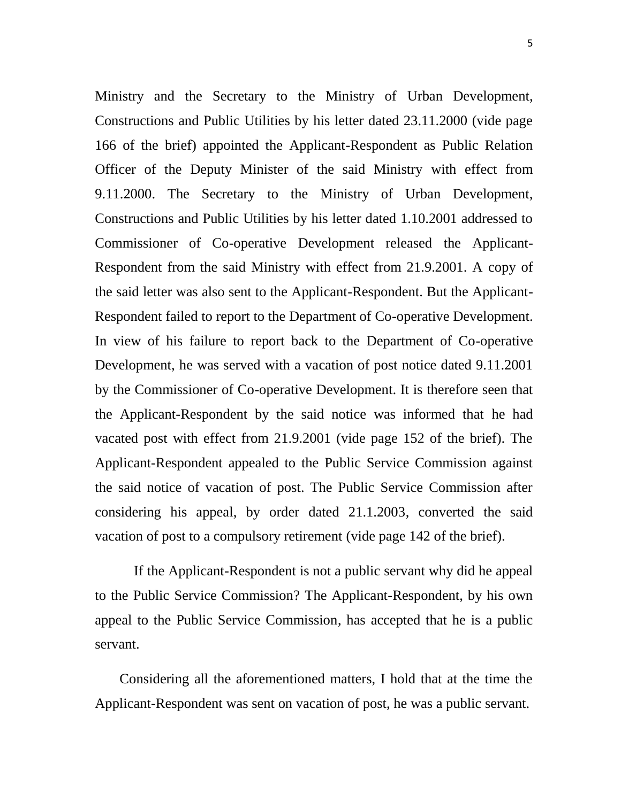Ministry and the Secretary to the Ministry of Urban Development, Constructions and Public Utilities by his letter dated 23.11.2000 (vide page 166 of the brief) appointed the Applicant-Respondent as Public Relation Officer of the Deputy Minister of the said Ministry with effect from 9.11.2000. The Secretary to the Ministry of Urban Development, Constructions and Public Utilities by his letter dated 1.10.2001 addressed to Commissioner of Co-operative Development released the Applicant-Respondent from the said Ministry with effect from 21.9.2001. A copy of the said letter was also sent to the Applicant-Respondent. But the Applicant-Respondent failed to report to the Department of Co-operative Development. In view of his failure to report back to the Department of Co-operative Development, he was served with a vacation of post notice dated 9.11.2001 by the Commissioner of Co-operative Development. It is therefore seen that the Applicant-Respondent by the said notice was informed that he had vacated post with effect from 21.9.2001 (vide page 152 of the brief). The Applicant-Respondent appealed to the Public Service Commission against the said notice of vacation of post. The Public Service Commission after considering his appeal, by order dated 21.1.2003, converted the said vacation of post to a compulsory retirement (vide page 142 of the brief).

 If the Applicant-Respondent is not a public servant why did he appeal to the Public Service Commission? The Applicant-Respondent, by his own appeal to the Public Service Commission, has accepted that he is a public servant.

 Considering all the aforementioned matters, I hold that at the time the Applicant-Respondent was sent on vacation of post, he was a public servant.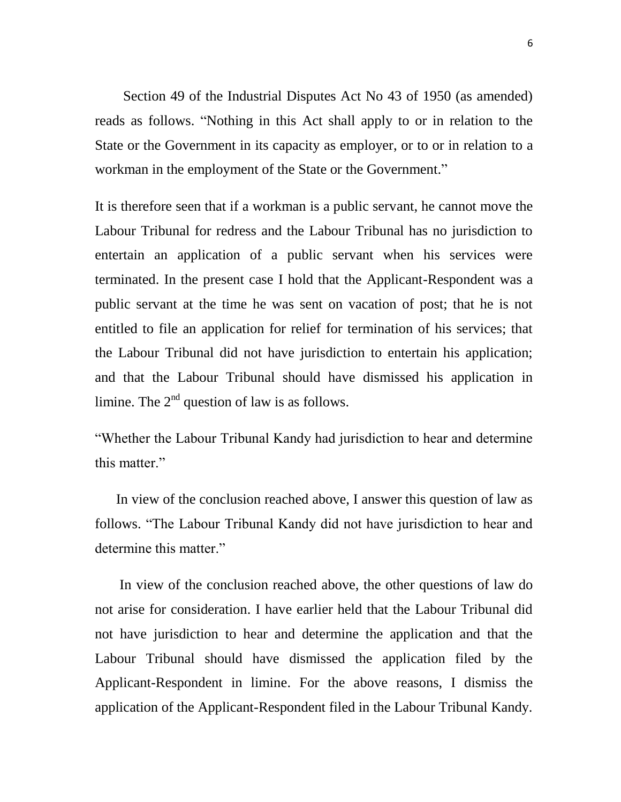Section 49 of the Industrial Disputes Act No 43 of 1950 (as amended) reads as follows. "Nothing in this Act shall apply to or in relation to the State or the Government in its capacity as employer, or to or in relation to a workman in the employment of the State or the Government."

It is therefore seen that if a workman is a public servant, he cannot move the Labour Tribunal for redress and the Labour Tribunal has no jurisdiction to entertain an application of a public servant when his services were terminated. In the present case I hold that the Applicant-Respondent was a public servant at the time he was sent on vacation of post; that he is not entitled to file an application for relief for termination of his services; that the Labour Tribunal did not have jurisdiction to entertain his application; and that the Labour Tribunal should have dismissed his application in limine. The  $2<sup>nd</sup>$  question of law is as follows.

"Whether the Labour Tribunal Kandy had jurisdiction to hear and determine this matter."

 In view of the conclusion reached above, I answer this question of law as follows. "The Labour Tribunal Kandy did not have jurisdiction to hear and determine this matter."

 In view of the conclusion reached above, the other questions of law do not arise for consideration. I have earlier held that the Labour Tribunal did not have jurisdiction to hear and determine the application and that the Labour Tribunal should have dismissed the application filed by the Applicant-Respondent in limine. For the above reasons, I dismiss the application of the Applicant-Respondent filed in the Labour Tribunal Kandy.